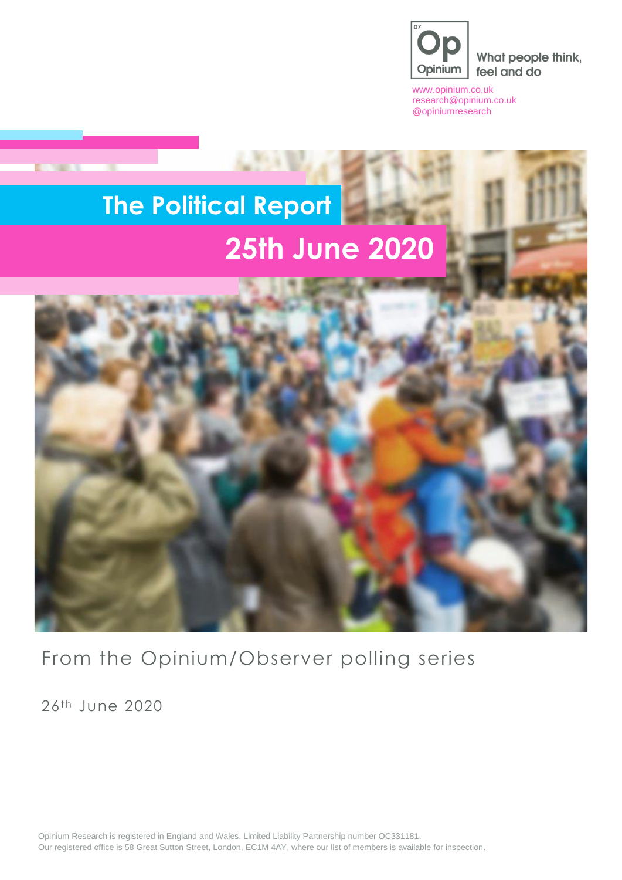

What people think, feel and do

[www.opinium.co.uk](http://www.opinium.co.uk/) [research@opinium.co.uk](mailto:research@opinium.co.uk) @opiniumresearch

# **The Political Report 25th June 2020**



From the Opinium/Observer polling series

 $26<sup>th</sup>$  June  $2020$ 

**DOM: N** 

Opinium Research is registered in England and Wales. Limited Liability Partnership number OC331181. Our registered office is 58 Great Sutton Street, London, EC1M 4AY, where our list of members is available for inspection.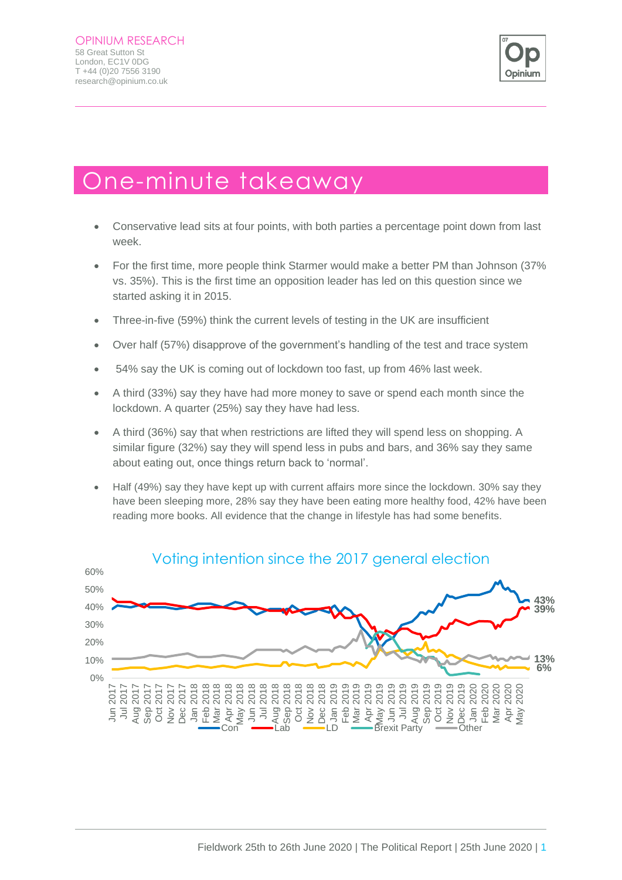

## One-minute takeaway

- Conservative lead sits at four points, with both parties a percentage point down from last week.
- For the first time, more people think Starmer would make a better PM than Johnson (37% vs. 35%). This is the first time an opposition leader has led on this question since we started asking it in 2015.
- Three-in-five (59%) think the current levels of testing in the UK are insufficient
- Over half (57%) disapprove of the government's handling of the test and trace system
- 54% say the UK is coming out of lockdown too fast, up from 46% last week.
- A third (33%) say they have had more money to save or spend each month since the lockdown. A quarter (25%) say they have had less.
- A third (36%) say that when restrictions are lifted they will spend less on shopping. A similar figure (32%) say they will spend less in pubs and bars, and 36% say they same about eating out, once things return back to 'normal'.
- Half (49%) say they have kept up with current affairs more since the lockdown. 30% say they have been sleeping more, 28% say they have been eating more healthy food, 42% have been reading more books. All evidence that the change in lifestyle has had some benefits.



#### Voting intention since the 2017 general election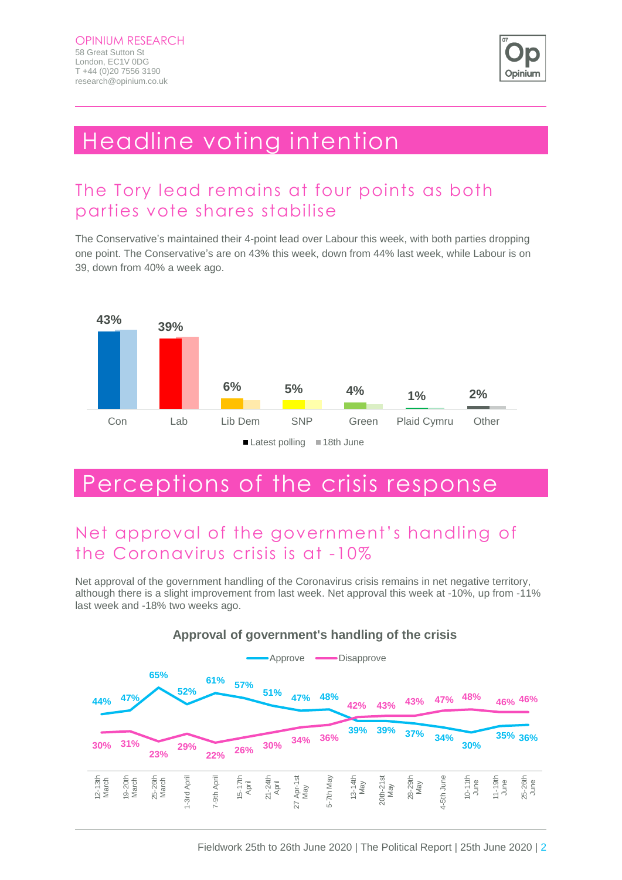

## Headline voting intention

### The Tory lead remains at four points as both parties vote shares stabilise

The Conservative's maintained their 4-point lead over Labour this week, with both parties dropping one point. The Conservative's are on 43% this week, down from 44% last week, while Labour is on 39, down from 40% a week ago.



## Perceptions of the crisis response

## Net approval of the government's handling of the Coronavirus crisis is at -10%

Net approval of the government handling of the Coronavirus crisis remains in net negative territory, although there is a slight improvement from last week. Net approval this week at -10%, up from -11% last week and -18% two weeks ago.



#### **Approval of government's handling of the crisis**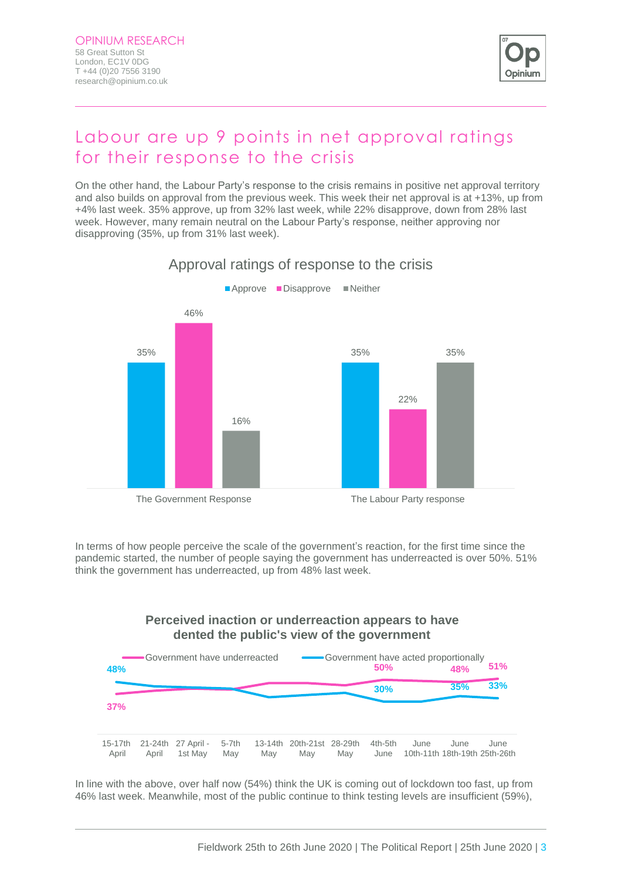

### Labour are up 9 points in net approval ratings for their response to the crisis

On the other hand, the Labour Party's response to the crisis remains in positive net approval territory and also builds on approval from the previous week. This week their net approval is at +13%, up from +4% last week. 35% approve, up from 32% last week, while 22% disapprove, down from 28% last week. However, many remain neutral on the Labour Party's response, neither approving nor disapproving (35%, up from 31% last week).



Approval ratings of response to the crisis

In terms of how people perceive the scale of the government's reaction, for the first time since the pandemic started, the number of people saying the government has underreacted is over 50%. 51% think the government has underreacted, up from 48% last week.

#### **Perceived inaction or underreaction appears to have dented the public's view of the government**



In line with the above, over half now (54%) think the UK is coming out of lockdown too fast, up from 46% last week. Meanwhile, most of the public continue to think testing levels are insufficient (59%),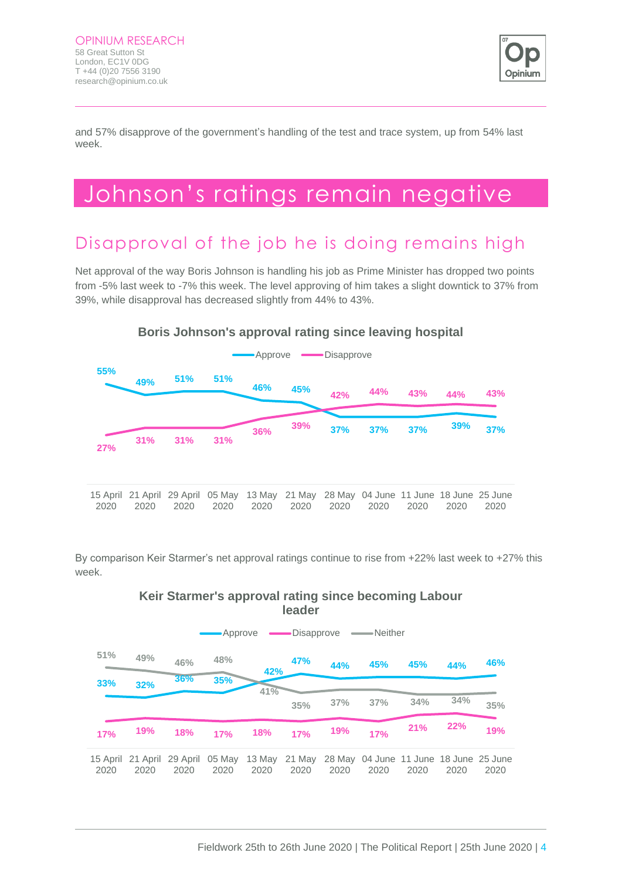

and 57% disapprove of the government's handling of the test and trace system, up from 54% last week.

## Johnson's ratings remain negative

### Disapproval of the job he is doing remains high

Net approval of the way Boris Johnson is handling his job as Prime Minister has dropped two points from -5% last week to -7% this week. The level approving of him takes a slight downtick to 37% from 39%, while disapproval has decreased slightly from 44% to 43%.



By comparison Keir Starmer's net approval ratings continue to rise from +22% last week to +27% this week.



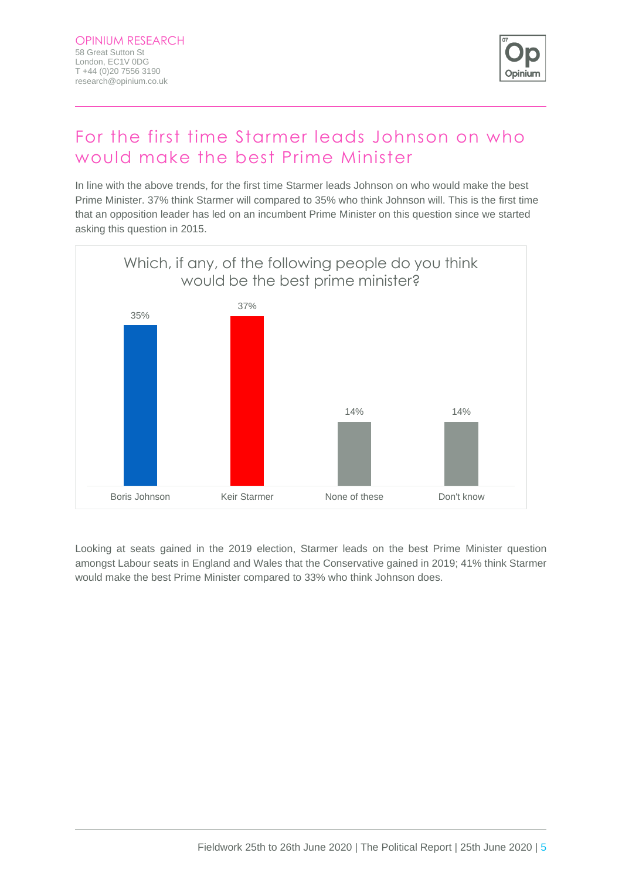

## For the first time Starmer leads Johnson on who would make the best Prime Minister

In line with the above trends, for the first time Starmer leads Johnson on who would make the best Prime Minister. 37% think Starmer will compared to 35% who think Johnson will. This is the first time that an opposition leader has led on an incumbent Prime Minister on this question since we started asking this question in 2015.



Looking at seats gained in the 2019 election, Starmer leads on the best Prime Minister question amongst Labour seats in England and Wales that the Conservative gained in 2019; 41% think Starmer would make the best Prime Minister compared to 33% who think Johnson does.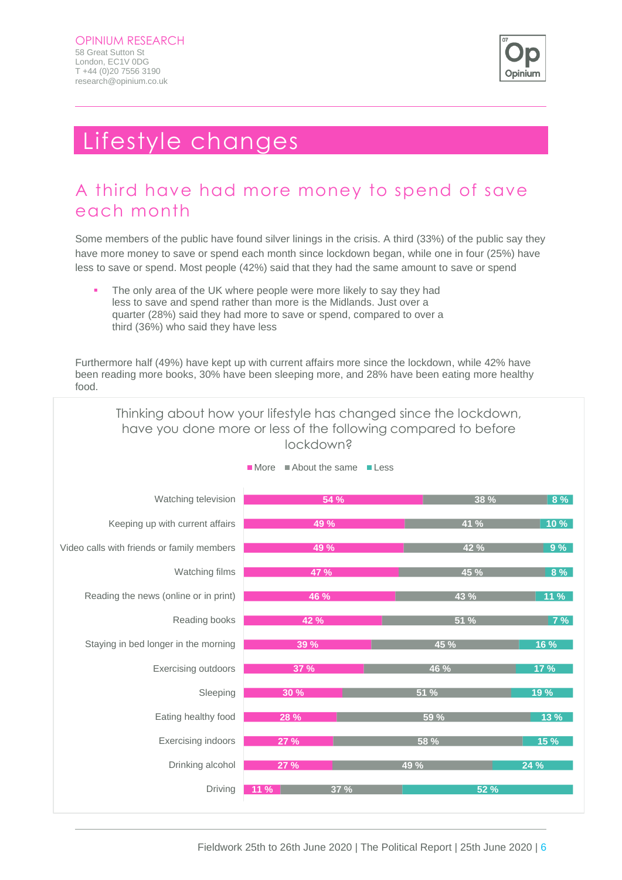

## Lifestyle changes

### A third have had more money to spend of save each month

Some members of the public have found silver linings in the crisis. A third (33%) of the public say they have more money to save or spend each month since lockdown began, while one in four (25%) have less to save or spend. Most people (42%) said that they had the same amount to save or spend

The only area of the UK where people were more likely to say they had less to save and spend rather than more is the Midlands. Just over a quarter (28%) said they had more to save or spend, compared to over a third (36%) who said they have less

Furthermore half (49%) have kept up with current affairs more since the lockdown, while 42% have been reading more books, 30% have been sleeping more, and 28% have been eating more healthy food.



Fieldwork 25th to 26th June 2020 | The Political Report | 25th June 2020 | 6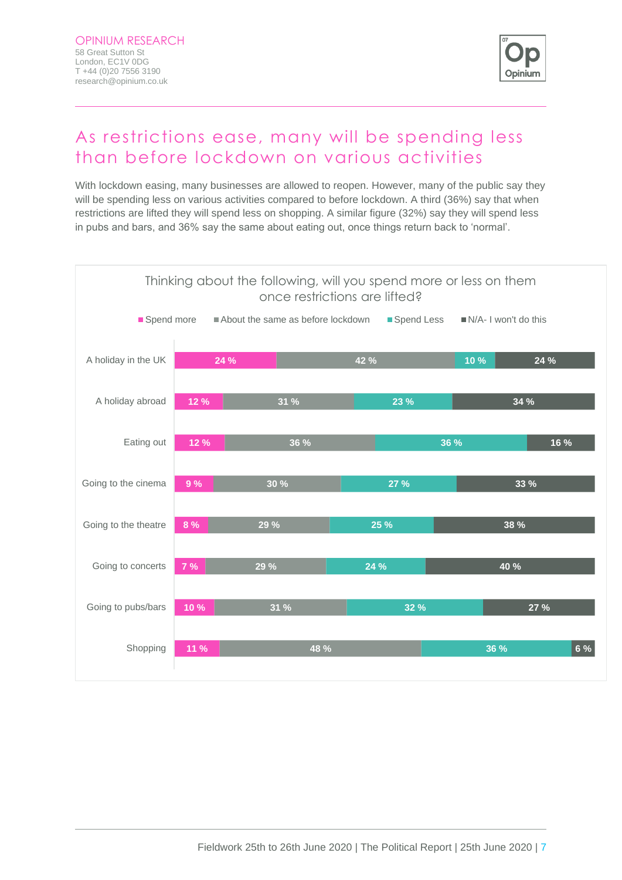

### As restrictions ease, many will be spending less than before lockdown on various activities

With lockdown easing, many businesses are allowed to reopen. However, many of the public say they will be spending less on various activities compared to before lockdown. A third (36%) say that when restrictions are lifted they will spend less on shopping. A similar figure (32%) say they will spend less in pubs and bars, and 36% say the same about eating out, once things return back to 'normal'.